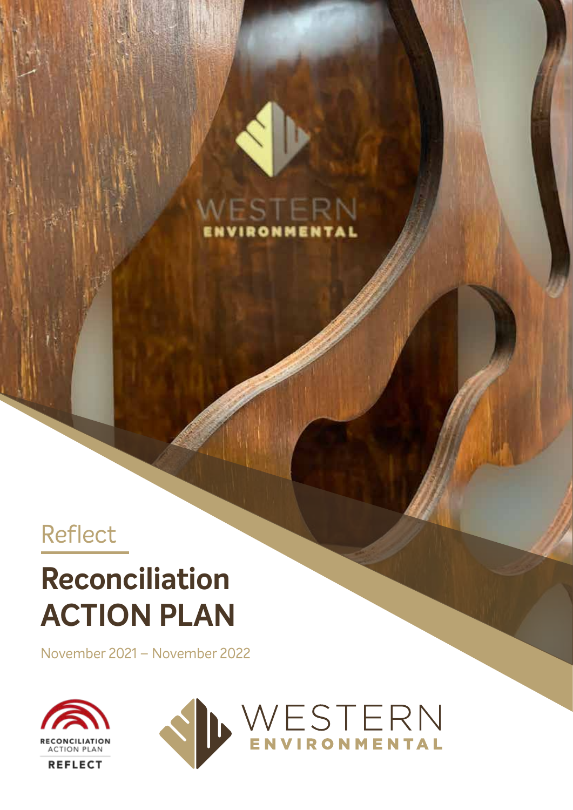

#### RONMEN

#### Reflect

## **Reconciliation ACTION PLAN**

November 2021 – November 2022



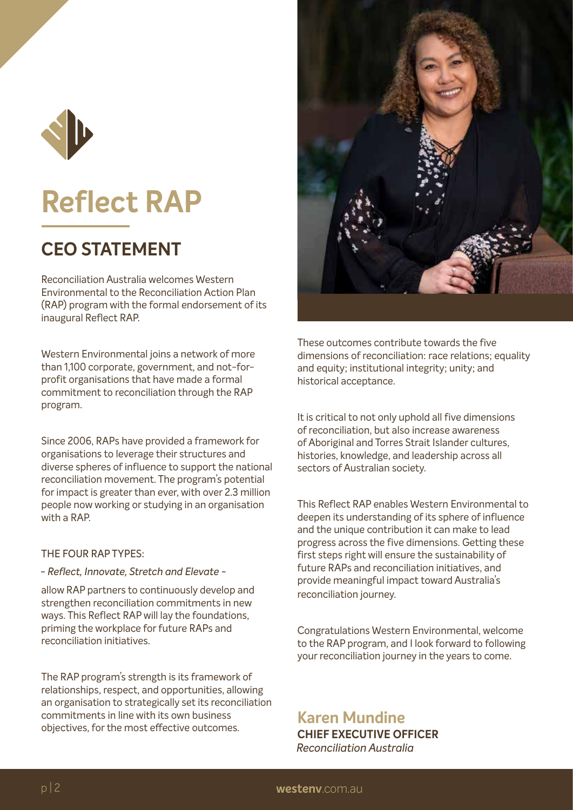

### **Reflect RAP**

#### **CEO STATEMENT**

Reconciliation Australia welcomes Western Environmental to the Reconciliation Action Plan (RAP) program with the formal endorsement of its inaugural Reflect RAP.

Western Environmental joins a network of more than 1,100 corporate, government, and not-forprofit organisations that have made a formal commitment to reconciliation through the RAP program.

Since 2006, RAPs have provided a framework for organisations to leverage their structures and diverse spheres of influence to support the national reconciliation movement. The program's potential for impact is greater than ever, with over 2.3 million people now working or studying in an organisation with a RAP.

#### THE FOUR RAP TYPES:

#### *- Reflect, Innovate, Stretch and Elevate -*

allow RAP partners to continuously develop and strengthen reconciliation commitments in new ways. This Reflect RAP will lay the foundations, priming the workplace for future RAPs and reconciliation initiatives.

The RAP program's strength is its framework of relationships, respect, and opportunities, allowing an organisation to strategically set its reconciliation commitments in line with its own business objectives, for the most effective outcomes.



These outcomes contribute towards the five dimensions of reconciliation: race relations; equality and equity; institutional integrity; unity; and historical acceptance.

It is critical to not only uphold all five dimensions of reconciliation, but also increase awareness of Aboriginal and Torres Strait Islander cultures, histories, knowledge, and leadership across all sectors of Australian society.

This Reflect RAP enables Western Environmental to deepen its understanding of its sphere of influence and the unique contribution it can make to lead progress across the five dimensions. Getting these first steps right will ensure the sustainability of future RAPs and reconciliation initiatives, and provide meaningful impact toward Australia's reconciliation journey.

Congratulations Western Environmental, welcome to the RAP program, and I look forward to following your reconciliation journey in the years to come.

**Karen Mundine CHIEF EXECUTIVE OFFICER** *Reconciliation Australia*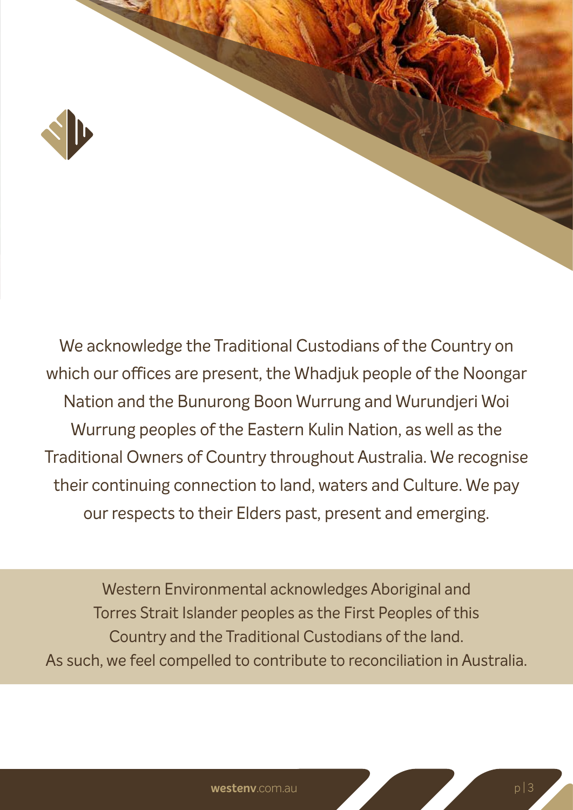

We acknowledge the Traditional Custodians of the Country on which our offices are present, the Whadjuk people of the Noongar Nation and the Bunurong Boon Wurrung and Wurundjeri Woi Wurrung peoples of the Eastern Kulin Nation, as well as the Traditional Owners of Country throughout Australia. We recognise their continuing connection to land, waters and Culture. We pay our respects to their Elders past, present and emerging.

Western Environmental acknowledges Aboriginal and Torres Strait Islander peoples as the First Peoples of this Country and the Traditional Custodians of the land. As such, we feel compelled to contribute to reconciliation in Australia.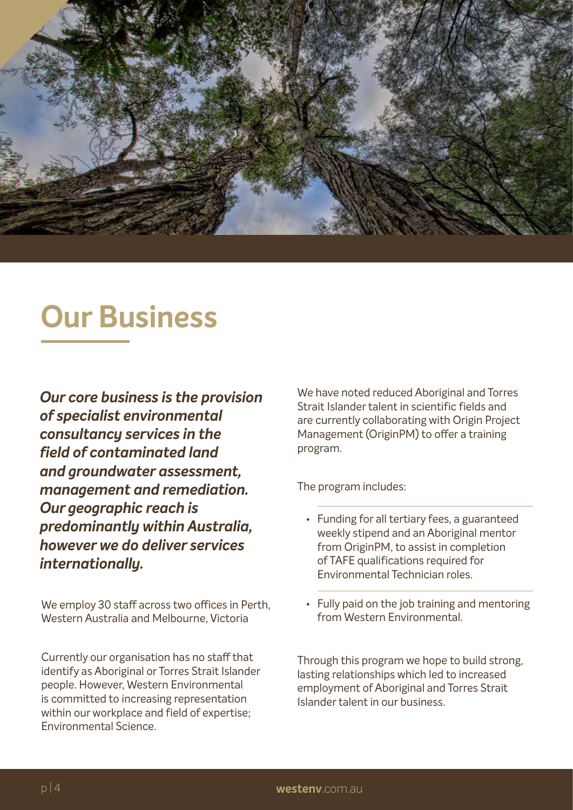

#### **Our Business**

*Our core business is the provision of specialist environmental consultancy services in the field of contaminated land and groundwater assessment, management and remediation. Our geographic reach is predominantly within Australia, however we do deliver services internationally.*

We employ 30 staff across two offices in Perth, Western Australia and Melbourne, Victoria

Currently our organisation has no staff that identify as Aboriginal or Torres Strait Islander people. However, Western Environmental is committed to increasing representation within our workplace and field of expertise; Environmental Science.

We have noted reduced Aboriginal and Torres Strait Islander talent in scientific fields and are currently collaborating with Origin Project Management (OriginPM) to offer a training program.

The program includes:

- Funding for all tertiary fees, a guaranteed weekly stipend and an Aboriginal mentor from OriginPM, to assist in completion of TAFE qualifications required for Environmental Technician roles.
- Fully paid on the job training and mentoring from Western Environmental.

Through this program we hope to build strong, lasting relationships which led to increased employment of Aboriginal and Torres Strait Islander talent in our business.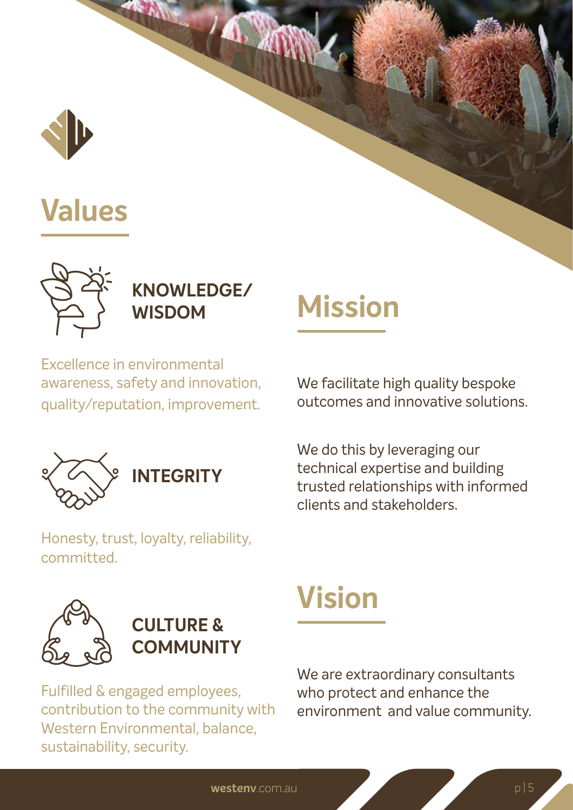

### **Values**



**KNOWLEDGE/ WISDOM** 

Excellence in environmental awareness, safety and innovation, quality/reputation, improvement.



**INTEGRITY** 

Honesty, trust, loyalty, reliability, committed.

# **Mission**

We facilitate high quality bespoke outcomes and innovative solutions.

We do this by leveraging our technical expertise and building trusted relationships with informed clients and stakeholders.





Fulfilled & engaged employees, contribution to the community with Western Environmental, balance, sustainability, security.

## **Vision**

We are extraordinary consultants who protect and enhance the environment and value community.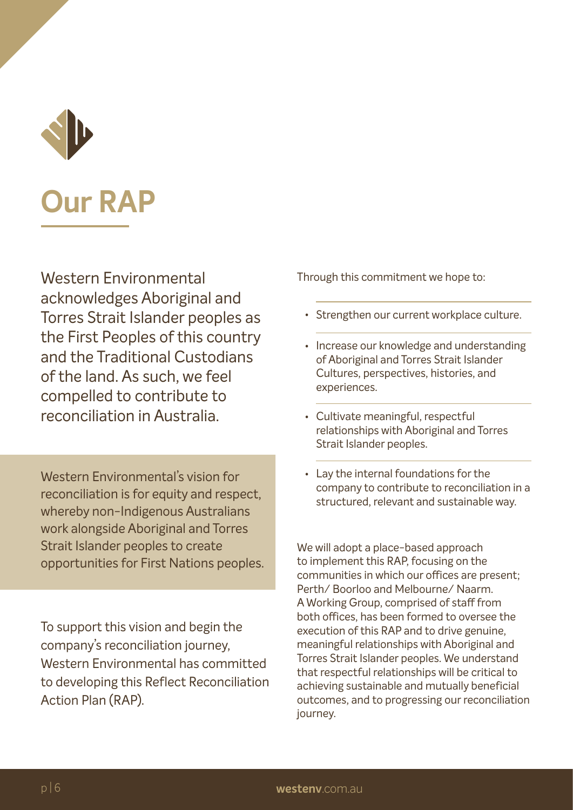

### **Our RAP**

Western Environmental acknowledges Aboriginal and Torres Strait Islander peoples as the First Peoples of this country and the Traditional Custodians of the land. As such, we feel compelled to contribute to reconciliation in Australia.

Western Environmental's vision for reconciliation is for equity and respect, whereby non-Indigenous Australians work alongside Aboriginal and Torres Strait Islander peoples to create opportunities for First Nations peoples.

To support this vision and begin the company's reconciliation journey, Western Environmental has committed to developing this Reflect Reconciliation Action Plan (RAP).

Through this commitment we hope to:

- Strengthen our current workplace culture.
- Increase our knowledge and understanding of Aboriginal and Torres Strait Islander Cultures, perspectives, histories, and experiences.
- Cultivate meaningful, respectful relationships with Aboriginal and Torres Strait Islander peoples.
- Lay the internal foundations for the company to contribute to reconciliation in a structured, relevant and sustainable way.

We will adopt a place-based approach to implement this RAP, focusing on the communities in which our offices are present; Perth/ Boorloo and Melbourne/ Naarm. A Working Group, comprised of staff from both offices, has been formed to oversee the execution of this RAP and to drive genuine, meaningful relationships with Aboriginal and Torres Strait Islander peoples. We understand that respectful relationships will be critical to achieving sustainable and mutually beneficial outcomes, and to progressing our reconciliation journey.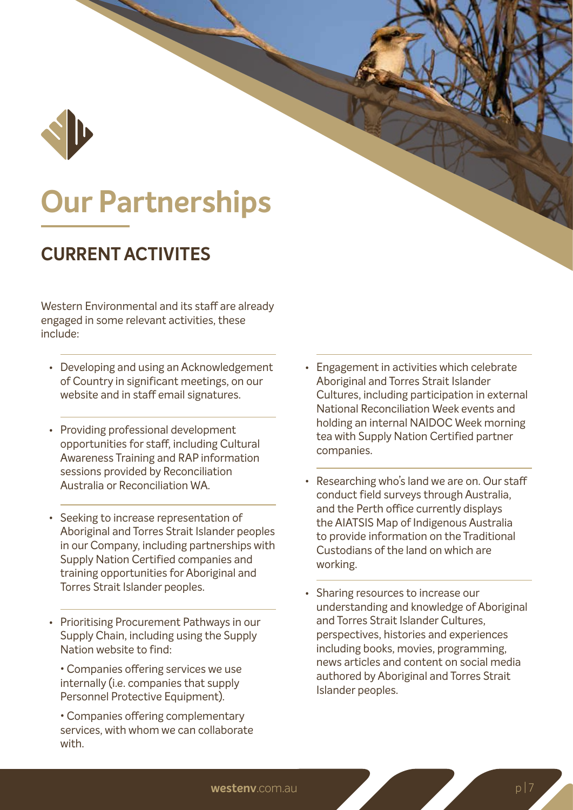

### **Our Partnerships**

#### **CURRENT ACTIVITES**

Western Environmental and its staff are already engaged in some relevant activities, these include:

- Developing and using an Acknowledgement of Country in significant meetings, on our website and in staff email signatures.
- Providing professional development opportunities for staff, including Cultural Awareness Training and RAP information sessions provided by Reconciliation Australia or Reconciliation WA.
- Seeking to increase representation of Aboriginal and Torres Strait Islander peoples in our Company, including partnerships with Supply Nation Certified companies and training opportunities for Aboriginal and Torres Strait Islander peoples.
- Prioritising Procurement Pathways in our Supply Chain, including using the Supply Nation website to find:

• Companies offering services we use internally (i.e. companies that supply Personnel Protective Equipment).

• Companies offering complementary services, with whom we can collaborate with.

- Engagement in activities which celebrate Aboriginal and Torres Strait Islander Cultures, including participation in external National Reconciliation Week events and holding an internal NAIDOC Week morning tea with Supply Nation Certified partner companies.
- Researching who's land we are on. Our staff conduct field surveys through Australia, and the Perth office currently displays the AIATSIS Map of Indigenous Australia to provide information on the Traditional Custodians of the land on which are working.
- Sharing resources to increase our understanding and knowledge of Aboriginal and Torres Strait Islander Cultures, perspectives, histories and experiences including books, movies, programming, news articles and content on social media authored by Aboriginal and Torres Strait Islander peoples. •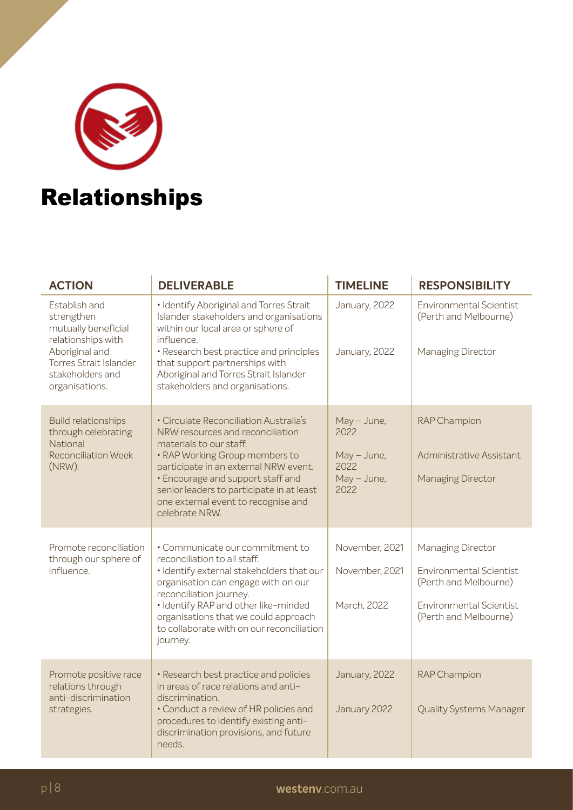

#### Relationships

| <b>ACTION</b>                                                                         | <b>DELIVERABLE</b>                                                                                                                                    | <b>TIMELINE</b>       | <b>RESPONSIBILITY</b>                                   |
|---------------------------------------------------------------------------------------|-------------------------------------------------------------------------------------------------------------------------------------------------------|-----------------------|---------------------------------------------------------|
| Establish and<br>strengthen<br>mutually beneficial<br>relationships with              | · Identify Aboriginal and Torres Strait<br>Islander stakeholders and organisations<br>within our local area or sphere of<br>influence.                | January, 2022         | <b>Environmental Scientist</b><br>(Perth and Melbourne) |
| Aboriginal and<br><b>Torres Strait Islander</b><br>stakeholders and<br>organisations. | · Research best practice and principles<br>that support partnerships with<br>Aboriginal and Torres Strait Islander<br>stakeholders and organisations. | January, 2022         | Managing Director                                       |
| <b>Build relationships</b><br>through celebrating<br>National                         | • Circulate Reconciliation Australia's<br>NRW resources and reconciliation<br>materials to our staff.                                                 | $May - June,$<br>2022 | <b>RAP Champion</b>                                     |
| <b>Reconciliation Week</b><br>(NRW).                                                  | • RAP Working Group members to<br>participate in an external NRW event.                                                                               | May - June,<br>2022   | Administrative Assistant                                |
|                                                                                       | • Encourage and support staff and<br>senior leaders to participate in at least<br>one external event to recognise and<br>celebrate NRW.               | May - June,<br>2022   | <b>Managing Director</b>                                |
| Promote reconciliation<br>through our sphere of                                       | • Communicate our commitment to<br>reconciliation to all staff.                                                                                       | November, 2021        | Managing Director                                       |
| influence.                                                                            | · Identify external stakeholders that our<br>organisation can engage with on our<br>reconciliation journey.                                           | November, 2021        | <b>Environmental Scientist</b><br>(Perth and Melbourne) |
|                                                                                       | · Identify RAP and other like-minded<br>organisations that we could approach<br>to collaborate with on our reconciliation<br>journey.                 | March, 2022           | <b>Environmental Scientist</b><br>(Perth and Melbourne) |
| Promote positive race<br>relations through                                            | · Research best practice and policies<br>in areas of race relations and anti-                                                                         | January, 2022         | <b>RAP Champion</b>                                     |
| anti-discrimination<br>strategies.                                                    | discrimination.<br>• Conduct a review of HR policies and<br>procedures to identify existing anti-<br>discrimination provisions, and future<br>needs.  | January 2022          | <b>Quality Systems Manager</b>                          |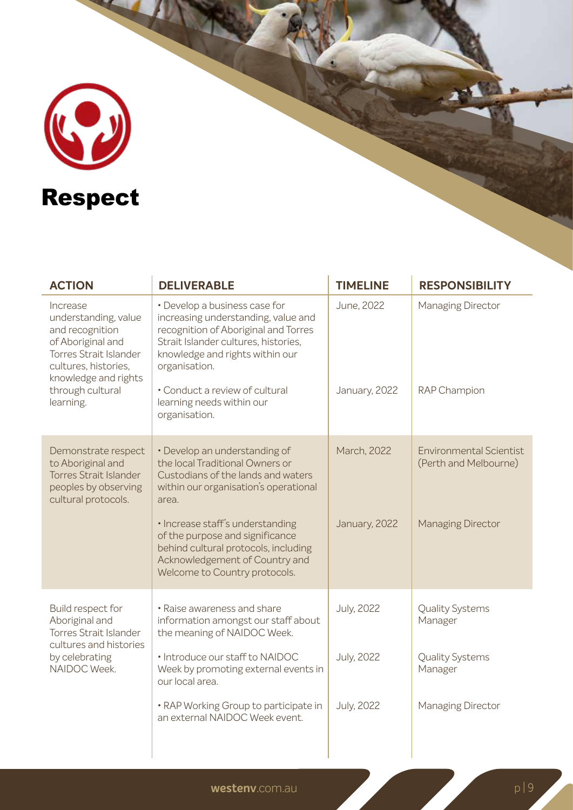

| <b>ACTION</b>                                                                                                                                                                       | <b>DELIVERABLE</b>                                                                                                                                                                                                                                                                                                                         | <b>TIMELINE</b>              | <b>RESPONSIBILITY</b>                                                               |
|-------------------------------------------------------------------------------------------------------------------------------------------------------------------------------------|--------------------------------------------------------------------------------------------------------------------------------------------------------------------------------------------------------------------------------------------------------------------------------------------------------------------------------------------|------------------------------|-------------------------------------------------------------------------------------|
| Increase<br>understanding, value<br>and recognition<br>of Aboriginal and<br>Torres Strait Islander<br>cultures, histories,<br>knowledge and rights<br>through cultural<br>learning. | • Develop a business case for<br>increasing understanding, value and<br>recognition of Aboriginal and Torres<br>Strait Islander cultures, histories,<br>knowledge and rights within our<br>organisation.<br>• Conduct a review of cultural<br>learning needs within our<br>organisation.                                                   | June, 2022<br>January, 2022  | Managing Director<br>RAP Champion                                                   |
| Demonstrate respect<br>to Aboriginal and<br><b>Torres Strait Islander</b><br>peoples by observing<br>cultural protocols.                                                            | • Develop an understanding of<br>the local Traditional Owners or<br>Custodians of the lands and waters<br>within our organisation's operational<br>area.<br>· Increase staff's understanding<br>of the purpose and significance<br>behind cultural protocols, including<br>Acknowledgement of Country and<br>Welcome to Country protocols. | March, 2022<br>January, 2022 | <b>Environmental Scientist</b><br>(Perth and Melbourne)<br><b>Managing Director</b> |
| Build respect for<br>Aboriginal and<br><b>Torres Strait Islander</b><br>cultures and histories<br>by celebrating<br>NAIDOC Week.                                                    | • Raise awareness and share<br>information amongst our staff about<br>the meaning of NAIDOC Week.                                                                                                                                                                                                                                          | <b>July, 2022</b>            | <b>Quality Systems</b><br>Manager                                                   |
|                                                                                                                                                                                     | · Introduce our staff to NAIDOC<br>Week by promoting external events in<br>our local area.                                                                                                                                                                                                                                                 | <b>July, 2022</b>            | <b>Quality Systems</b><br>Manager                                                   |
|                                                                                                                                                                                     | • RAP Working Group to participate in<br>an external NAIDOC Week event.                                                                                                                                                                                                                                                                    | <b>July, 2022</b>            | Managing Director                                                                   |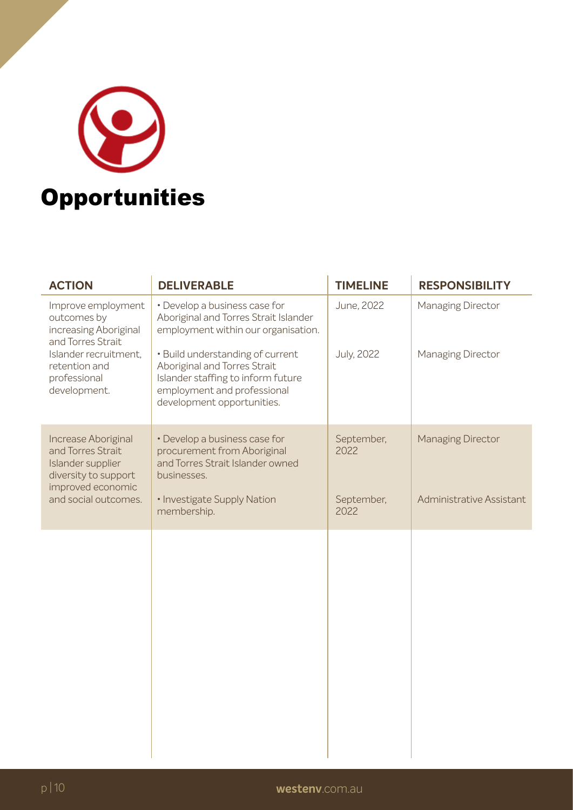

| <b>ACTION</b>                                                                                                                                             | <b>DELIVERABLE</b>                                                                                                                                                  | <b>TIMELINE</b>    | <b>RESPONSIBILITY</b>    |
|-----------------------------------------------------------------------------------------------------------------------------------------------------------|---------------------------------------------------------------------------------------------------------------------------------------------------------------------|--------------------|--------------------------|
| Improve employment<br>outcomes by<br>increasing Aboriginal<br>and Torres Strait<br>Islander recruitment,<br>retention and<br>professional<br>development. | • Develop a business case for<br>Aboriginal and Torres Strait Islander<br>employment within our organisation.                                                       | June, 2022         | Managing Director        |
|                                                                                                                                                           | · Build understanding of current<br>Aboriginal and Torres Strait<br>Islander staffing to inform future<br>employment and professional<br>development opportunities. | <b>July, 2022</b>  | Managing Director        |
| Increase Aboriginal<br>and Torres Strait<br>Islander supplier<br>diversity to support<br>improved economic                                                | • Develop a business case for<br>procurement from Aboriginal<br>and Torres Strait Islander owned<br>businesses.                                                     | September,<br>2022 | <b>Managing Director</b> |
| and social outcomes.                                                                                                                                      | · Investigate Supply Nation<br>membership.                                                                                                                          | September,<br>2022 | Administrative Assistant |
|                                                                                                                                                           |                                                                                                                                                                     |                    |                          |
|                                                                                                                                                           |                                                                                                                                                                     |                    |                          |
|                                                                                                                                                           |                                                                                                                                                                     |                    |                          |
|                                                                                                                                                           |                                                                                                                                                                     |                    |                          |
|                                                                                                                                                           |                                                                                                                                                                     |                    |                          |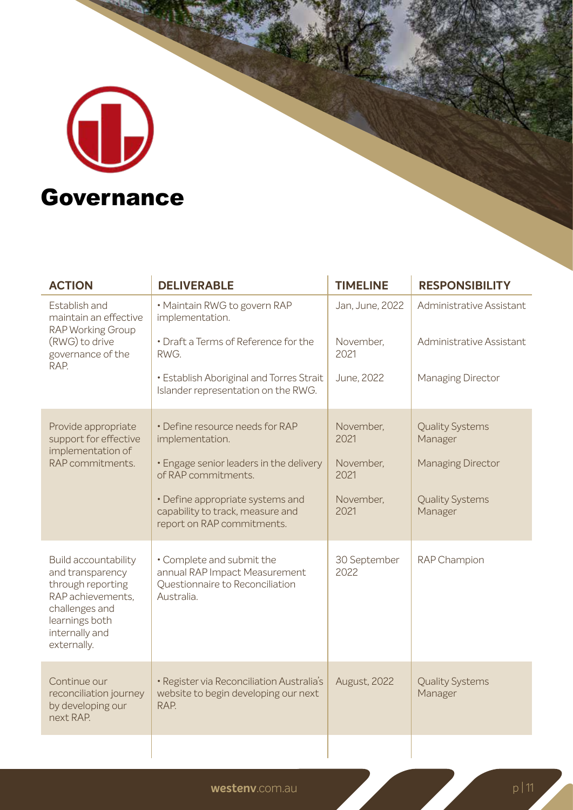# d **Governance**

| <b>ACTION</b>                                                                                                                                           | <b>DELIVERABLE</b>                                                                                          | <b>TIMELINE</b>      | <b>RESPONSIBILITY</b>             |
|---------------------------------------------------------------------------------------------------------------------------------------------------------|-------------------------------------------------------------------------------------------------------------|----------------------|-----------------------------------|
| Establish and<br>maintain an effective<br><b>RAP Working Group</b><br>(RWG) to drive<br>governance of the<br>RAP.                                       | · Maintain RWG to govern RAP<br>implementation.                                                             | Jan, June, 2022      | Administrative Assistant          |
|                                                                                                                                                         | • Draft a Terms of Reference for the<br>RWG.                                                                | November,<br>2021    | Administrative Assistant          |
|                                                                                                                                                         | · Establish Aboriginal and Torres Strait<br>Islander representation on the RWG.                             | June, 2022           | Managing Director                 |
| Provide appropriate<br>support for effective<br>implementation of<br>RAP commitments.                                                                   | • Define resource needs for RAP<br>implementation.                                                          | November,<br>2021    | <b>Quality Systems</b><br>Manager |
|                                                                                                                                                         | . Engage senior leaders in the delivery<br>of RAP commitments.                                              | November,<br>2021    | <b>Managing Director</b>          |
|                                                                                                                                                         | • Define appropriate systems and<br>capability to track, measure and<br>report on RAP commitments.          | November,<br>2021    | <b>Quality Systems</b><br>Manager |
| Build accountability<br>and transparency<br>through reporting<br>RAP achievements,<br>challenges and<br>learnings both<br>internally and<br>externally. | · Complete and submit the<br>annual RAP Impact Measurement<br>Questionnaire to Reconciliation<br>Australia. | 30 September<br>2022 | RAP Champion                      |
| Continue our<br>reconciliation journey<br>by developing our<br>next RAP.                                                                                | · Register via Reconciliation Australia's<br>website to begin developing our next<br>RAP.                   | August, 2022         | <b>Quality Systems</b><br>Manager |